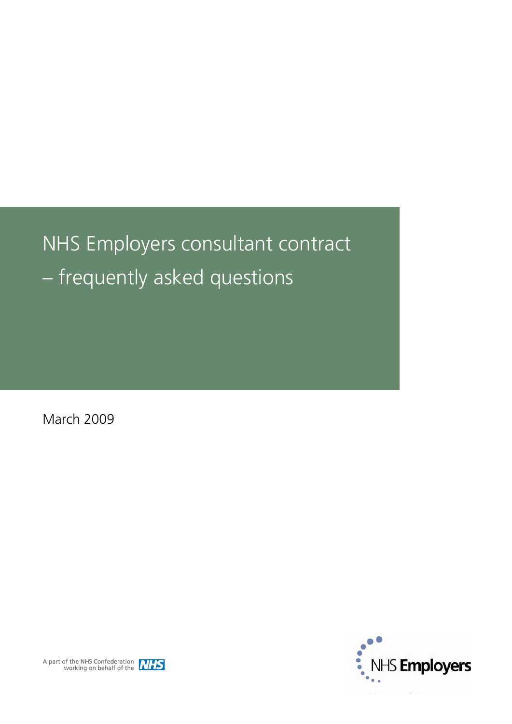# <span id="page-0-0"></span>NHS Employers consultant contract – frequently asked questions

March 2009



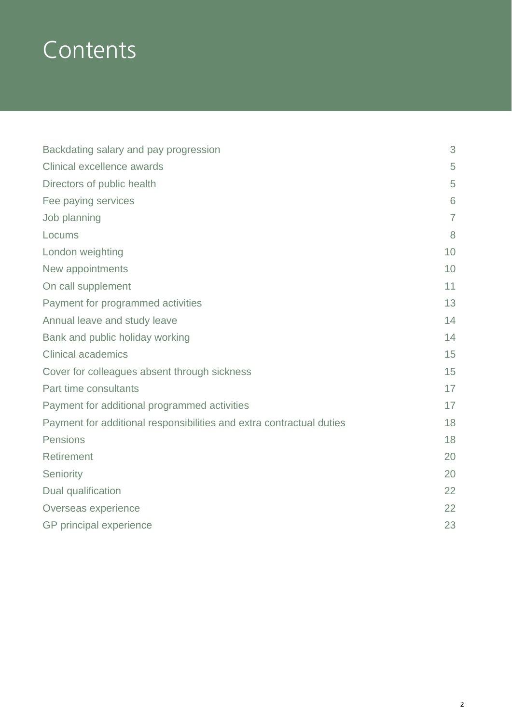# **Contents**

| Backdating salary and pay progression                                | 3              |
|----------------------------------------------------------------------|----------------|
| Clinical excellence awards                                           | 5              |
| Directors of public health                                           | 5              |
| Fee paying services                                                  | 6              |
| Job planning                                                         | $\overline{7}$ |
| Locums                                                               | 8              |
| London weighting                                                     | 10             |
| New appointments                                                     | 10             |
| On call supplement                                                   | 11             |
| Payment for programmed activities                                    | 13             |
| Annual leave and study leave                                         | 14             |
| Bank and public holiday working                                      | 14             |
| <b>Clinical academics</b>                                            | 15             |
| Cover for colleagues absent through sickness                         | 15             |
| Part time consultants                                                | 17             |
| Payment for additional programmed activities                         | 17             |
| Payment for additional responsibilities and extra contractual duties | 18             |
| Pensions                                                             | 18             |
| <b>Retirement</b>                                                    | 20             |
| Seniority                                                            | 20             |
| Dual qualification                                                   | 22             |
| Overseas experience                                                  | 22             |
| GP principal experience                                              | 23             |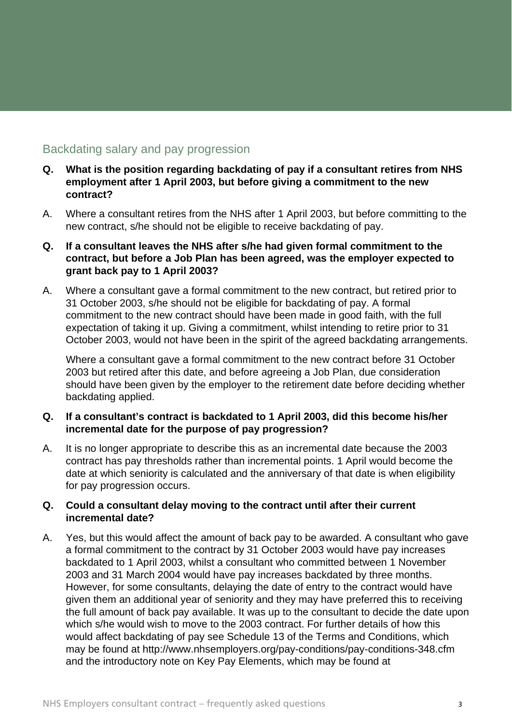# Backdating salary and pay progression

- **Q. What is the position regarding backdating of pay if a consultant retires from NHS employment after 1 April 2003, but before giving a commitment to the new contract?**
- A. Where a consultant retires from the NHS after 1 April 2003, but before committing to the new contract, s/he should not be eligible to receive backdating of pay.
- **Q. If a consultant leaves the NHS after s/he had given formal commitment to the contract, but before a Job Plan has been agreed, was the employer expected to grant back pay to 1 April 2003?**
- A. Where a consultant gave a formal commitment to the new contract, but retired prior to 31 October 2003, s/he should not be eligible for backdating of pay. A formal commitment to the new contract should have been made in good faith, with the full expectation of taking it up. Giving a commitment, whilst intending to retire prior to 31 October 2003, would not have been in the spirit of the agreed backdating arrangements.

 Where a consultant gave a formal commitment to the new contract before 31 October 2003 but retired after this date, and before agreeing a Job Plan, due consideration should have been given by the employer to the retirement date before deciding whether backdating applied.

#### **Q. If a consultant's contract is backdated to 1 April 2003, did this become his/her incremental date for the purpose of pay progression?**

A. It is no longer appropriate to describe this as an incremental date because the 2003 contract has pay thresholds rather than incremental points. 1 April would become the date at which seniority is calculated and the anniversary of that date is when eligibility for pay progression occurs.

#### **Q. Could a consultant delay moving to the contract until after their current incremental date?**

A. Yes, but this would affect the amount of back pay to be awarded. A consultant who gave a formal commitment to the contract by 31 October 2003 would have pay increases backdated to 1 April 2003, whilst a consultant who committed between 1 November 2003 and 31 March 2004 would have pay increases backdated by three months. However, for some consultants, delaying the date of entry to the contract would have given them an additional year of seniority and they may have preferred this to receiving the full amount of back pay available. It was up to the consultant to decide the date upon which s/he would wish to move to the 2003 contract. For further details of how this would affect backdating of pay see Schedule 13 of the Terms and Conditions, which may be found at <http://www.nhsemployers.org/pay-conditions/pay-conditions-348.cfm> and the introductory note on Key Pay Elements, which may be found at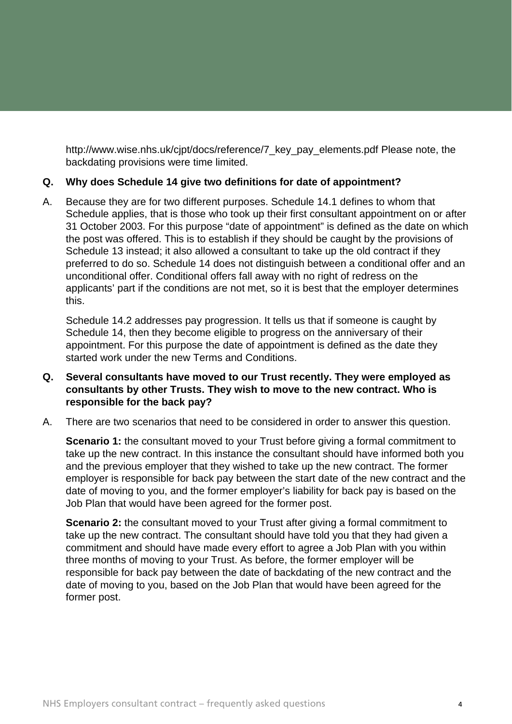[http://www.wise.nhs.uk/cjpt/docs/reference/7\\_key\\_pay\\_elements.pdf](http://www.wise.nhs.uk/cjpt/docs/reference/7_key_pay_elements.pdf) Please note, the backdating provisions were time limited.

#### **Q. Why does Schedule 14 give two definitions for date of appointment?**

A. Because they are for two different purposes. Schedule 14.1 defines to whom that Schedule applies, that is those who took up their first consultant appointment on or after 31 October 2003. For this purpose "date of appointment" is defined as the date on which the post was offered. This is to establish if they should be caught by the provisions of Schedule 13 instead; it also allowed a consultant to take up the old contract if they preferred to do so. Schedule 14 does not distinguish between a conditional offer and an unconditional offer. Conditional offers fall away with no right of redress on the applicants' part if the conditions are not met, so it is best that the employer determines this.

 Schedule 14.2 addresses pay progression. It tells us that if someone is caught by Schedule 14, then they become eligible to progress on the anniversary of their appointment. For this purpose the date of appointment is defined as the date they started work under the new Terms and Conditions.

#### **Q. Several consultants have moved to our Trust recently. They were employed as consultants by other Trusts. They wish to move to the new contract. Who is responsible for the back pay?**

A. There are two scenarios that need to be considered in order to answer this question.

**Scenario 1:** the consultant moved to your Trust before giving a formal commitment to take up the new contract. In this instance the consultant should have informed both you and the previous employer that they wished to take up the new contract. The former employer is responsible for back pay between the start date of the new contract and the date of moving to you, and the former employer's liability for back pay is based on the Job Plan that would have been agreed for the former post.

**Scenario 2:** the consultant moved to your Trust after giving a formal commitment to take up the new contract. The consultant should have told you that they had given a commitment and should have made every effort to agree a Job Plan with you within three months of moving to your Trust. As before, the former employer will be responsible for back pay between the date of backdating of the new contract and the date of moving to you, based on the Job Plan that would have been agreed for the former post.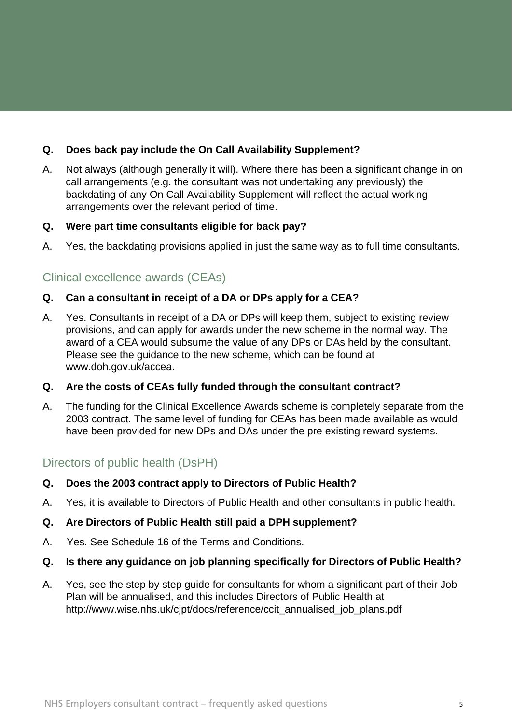# <span id="page-4-0"></span>**Q. Does back pay include the On Call Availability Supplement?**

A. Not always (although generally it will). Where there has been a significant change in on call arrangements (e.g. the consultant was not undertaking any previously) the backdating of any On Call Availability Supplement will reflect the actual working arrangements over the relevant period of time.

#### **Q. Were part time consultants eligible for back pay?**

A. Yes, the backdating provisions applied in just the same way as to full time consultants.

# Clinical excellence awards (CEAs)

#### **Q. Can a consultant in receipt of a DA or DPs apply for a CEA?**

A. Yes. Consultants in receipt of a DA or DPs will keep them, subject to existing review provisions, and can apply for awards under the new scheme in the normal way. The award of a CEA would subsume the value of any DPs or DAs held by the consultant. Please see the guidance to the new scheme, which can be found at [www.doh.gov.uk/accea.](http://www.doh.gov.uk/accea)

## **Q. Are the costs of CEAs fully funded through the consultant contract?**

A. The funding for the Clinical Excellence Awards scheme is completely separate from the 2003 contract. The same level of funding for CEAs has been made available as would have been provided for new DPs and DAs under the pre existing reward systems.

# Directors of public health (DsPH)

## **Q. Does the 2003 contract apply to Directors of Public Health?**

A. Yes, it is available to Directors of Public Health and other consultants in public health.

## **Q. Are Directors of Public Health still paid a DPH supplement?**

A. Yes. See Schedule 16 of the Terms and Conditions.

## **Q. Is there any guidance on job planning specifically for Directors of Public Health?**

A. Yes, see the step by step guide for consultants for whom a significant part of their Job Plan will be annualised, and this includes Directors of Public Health at [http://www.wise.nhs.uk/cjpt/docs/reference/ccit\\_annualised\\_job\\_plans.pdf](http://www.wise.nhs.uk/cjpt/docs/reference/ccit_annualised_job_plans.pdf)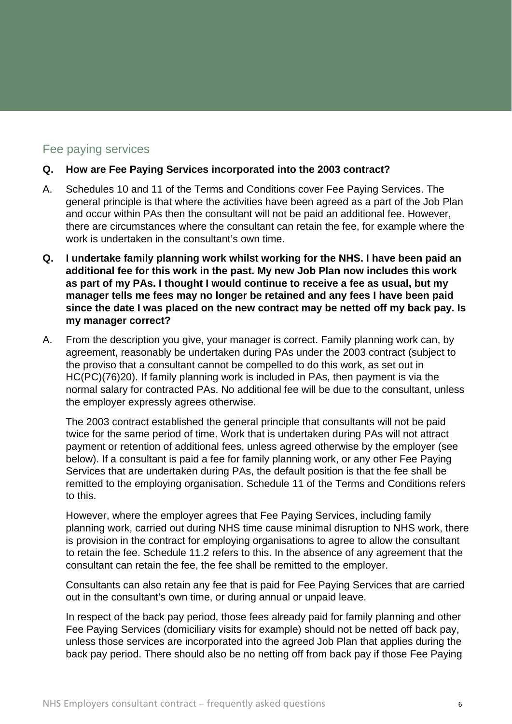# Fee paying services

#### **Q. How are Fee Paying Services incorporated into the 2003 contract?**

- A. Schedules 10 and 11 of the Terms and Conditions cover Fee Paying Services. The general principle is that where the activities have been agreed as a part of the Job Plan and occur within PAs then the consultant will not be paid an additional fee. However, there are circumstances where the consultant can retain the fee, for example where the work is undertaken in the consultant's own time.
- **Q. I undertake family planning work whilst working for the NHS. I have been paid an additional fee for this work in the past. My new Job Plan now includes this work as part of my PAs. I thought I would continue to receive a fee as usual, but my manager tells me fees may no longer be retained and any fees I have been paid since the date I was placed on the new contract may be netted off my back pay. Is my manager correct?**
- A. From the description you give, your manager is correct. Family planning work can, by agreement, reasonably be undertaken during PAs under the 2003 contract (subject to the proviso that a consultant cannot be compelled to do this work, as set out in HC(PC)(76)20). If family planning work is included in PAs, then payment is via the normal salary for contracted PAs. No additional fee will be due to the consultant, unless the employer expressly agrees otherwise.

 The 2003 contract established the general principle that consultants will not be paid twice for the same period of time. Work that is undertaken during PAs will not attract payment or retention of additional fees, unless agreed otherwise by the employer (see below). If a consultant is paid a fee for family planning work, or any other Fee Paying Services that are undertaken during PAs, the default position is that the fee shall be remitted to the employing organisation. Schedule 11 of the Terms and Conditions refers to this.

 However, where the employer agrees that Fee Paying Services, including family planning work, carried out during NHS time cause minimal disruption to NHS work, there is provision in the contract for employing organisations to agree to allow the consultant to retain the fee. Schedule 11.2 refers to this. In the absence of any agreement that the consultant can retain the fee, the fee shall be remitted to the employer.

Consultants can also retain any fee that is paid for Fee Paying Services that are carried out in the consultant's own time, or during annual or unpaid leave.

In respect of the back pay period, those fees already paid for family planning and other Fee Paying Services (domiciliary visits for example) should not be netted off back pay, unless those services are incorporated into the agreed Job Plan that applies during the back pay period. There should also be no netting off from back pay if those Fee Paying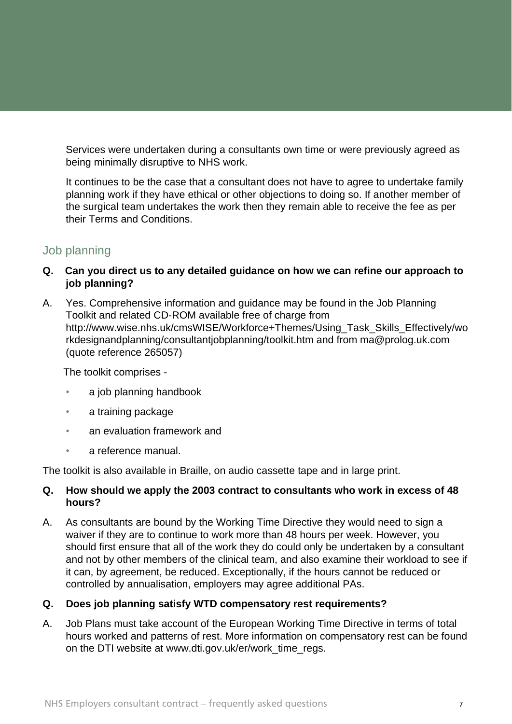<span id="page-6-0"></span>Services were undertaken during a consultants own time or were previously agreed as being minimally disruptive to NHS work.

It continues to be the case that a consultant does not have to agree to undertake family planning work if they have ethical or other objections to doing so. If another member of the surgical team undertakes the work then they remain able to receive the fee as per their Terms and Conditions.

# Job planning

- **Q. Can you direct us to any detailed guidance on how we can refine our approach to job planning?**
- A. Yes. Comprehensive information and guidance may be found in the Job Planning Toolkit and related CD-ROM available free of charge from [http://www.wise.nhs.uk/cmsWISE/Workforce+Themes/Using\\_Task\\_Skills\\_Effectively/wo](http://www.wise.nhs.uk/cmsWISE/Workforce+Themes/Using_Task_Skills_Effectively/workdesignandplanning/consultantjobplanning/toolkit.htm) [rkdesignandplanning/consultantjobplanning/toolkit.htm](http://www.wise.nhs.uk/cmsWISE/Workforce+Themes/Using_Task_Skills_Effectively/workdesignandplanning/consultantjobplanning/toolkit.htm) and from [ma@prolog.uk.com](mailto:ma@prolog.uk.com) (quote reference 265057)

The toolkit comprises -

- a job planning handbook
- a training package
- an evaluation framework and
- a reference manual.

The toolkit is also available in Braille, on audio cassette tape and in large print.

## **Q. How should we apply the 2003 contract to consultants who work in excess of 48 hours?**

A. As consultants are bound by the Working Time Directive they would need to sign a waiver if they are to continue to work more than 48 hours per week. However, you should first ensure that all of the work they do could only be undertaken by a consultant and not by other members of the clinical team, and also examine their workload to see if it can, by agreement, be reduced. Exceptionally, if the hours cannot be reduced or controlled by annualisation, employers may agree additional PAs.

## **Q. Does job planning satisfy WTD compensatory rest requirements?**

A. Job Plans must take account of the European Working Time Directive in terms of total hours worked and patterns of rest. More information on compensatory rest can be found on the DTI website at [www.dti.gov.uk/er/work\\_time\\_regs](http://www.dti.gov.uk/er/work_time_regs).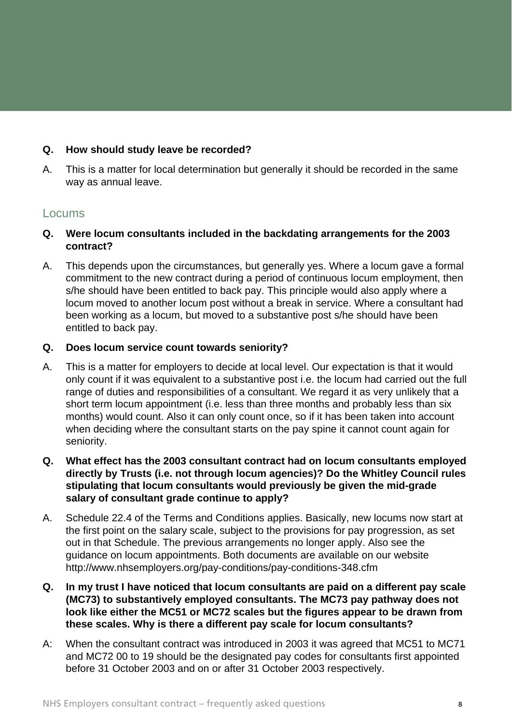#### <span id="page-7-0"></span>**Q. How should study leave be recorded?**

A. This is a matter for local determination but generally it should be recorded in the same way as annual leave.

#### Locums

- **Q. Were locum consultants included in the backdating arrangements for the 2003 contract?**
- A. This depends upon the circumstances, but generally yes. Where a locum gave a formal commitment to the new contract during a period of continuous locum employment, then s/he should have been entitled to back pay. This principle would also apply where a locum moved to another locum post without a break in service. Where a consultant had been working as a locum, but moved to a substantive post s/he should have been entitled to back pay.

#### **Q. Does locum service count towards seniority?**

- A. This is a matter for employers to decide at local level. Our expectation is that it would only count if it was equivalent to a substantive post i.e. the locum had carried out the full range of duties and responsibilities of a consultant. We regard it as very unlikely that a short term locum appointment (i.e. less than three months and probably less than six months) would count. Also it can only count once, so if it has been taken into account when deciding where the consultant starts on the pay spine it cannot count again for seniority.
- **Q. What effect has the 2003 consultant contract had on locum consultants employed directly by Trusts (i.e. not through locum agencies)? Do the Whitley Council rules stipulating that locum consultants would previously be given the mid-grade salary of consultant grade continue to apply?**
- A. Schedule 22.4 of the Terms and Conditions applies. Basically, new locums now start at the first point on the salary scale, subject to the provisions for pay progression, as set out in that Schedule. The previous arrangements no longer apply. Also see the guidance on locum appointments. Both documents are available on our website <http://www.nhsemployers.org/pay-conditions/pay-conditions-348.cfm>
- **Q. In my trust I have noticed that locum consultants are paid on a different pay scale (MC73) to substantively employed consultants. The MC73 pay pathway does not look like either the MC51 or MC72 scales but the figures appear to be drawn from these scales. Why is there a different pay scale for locum consultants?**
- A: When the consultant contract was introduced in 2003 it was agreed that MC51 to MC71 and MC72 00 to 19 should be the designated pay codes for consultants first appointed before 31 October 2003 and on or after 31 October 2003 respectively.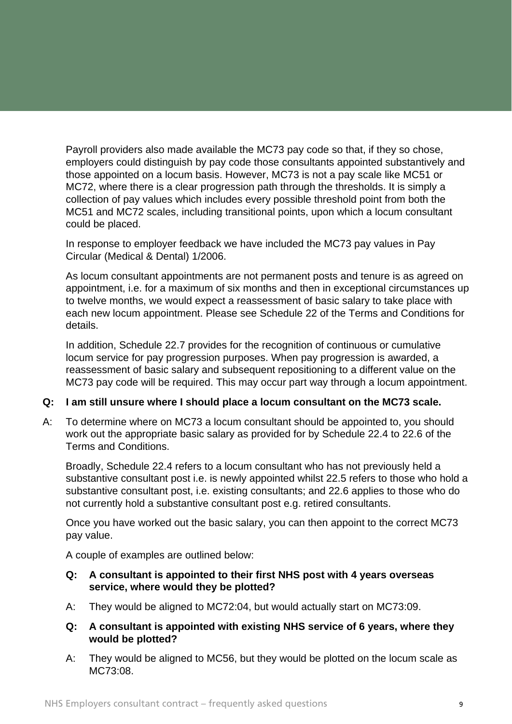Payroll providers also made available the MC73 pay code so that, if they so chose, employers could distinguish by pay code those consultants appointed substantively and those appointed on a locum basis. However, MC73 is not a pay scale like MC51 or MC72, where there is a clear progression path through the thresholds. It is simply a collection of pay values which includes every possible threshold point from both the MC51 and MC72 scales, including transitional points, upon which a locum consultant could be placed.

In response to employer feedback we have included the MC73 pay values in Pay Circular (Medical & Dental) 1/2006.

As locum consultant appointments are not permanent posts and tenure is as agreed on appointment, i.e. for a maximum of six months and then in exceptional circumstances up to twelve months, we would expect a reassessment of basic salary to take place with each new locum appointment. Please see Schedule 22 of the Terms and Conditions for details.

In addition, Schedule 22.7 provides for the recognition of continuous or cumulative locum service for pay progression purposes. When pay progression is awarded, a reassessment of basic salary and subsequent repositioning to a different value on the MC73 pay code will be required. This may occur part way through a locum appointment.

#### **Q: I am still unsure where I should place a locum consultant on the MC73 scale.**

A: To determine where on MC73 a locum consultant should be appointed to, you should work out the appropriate basic salary as provided for by Schedule 22.4 to 22.6 of the Terms and Conditions.

 Broadly, Schedule 22.4 refers to a locum consultant who has not previously held a substantive consultant post i.e. is newly appointed whilst 22.5 refers to those who hold a substantive consultant post, i.e. existing consultants; and 22.6 applies to those who do not currently hold a substantive consultant post e.g. retired consultants.

 Once you have worked out the basic salary, you can then appoint to the correct MC73 pay value.

A couple of examples are outlined below:

#### **Q: A consultant is appointed to their first NHS post with 4 years overseas service, where would they be plotted?**

- A: They would be aligned to MC72:04, but would actually start on MC73:09.
- **Q: A consultant is appointed with existing NHS service of 6 years, where they would be plotted?**
- A: They would be aligned to MC56, but they would be plotted on the locum scale as MC73:08.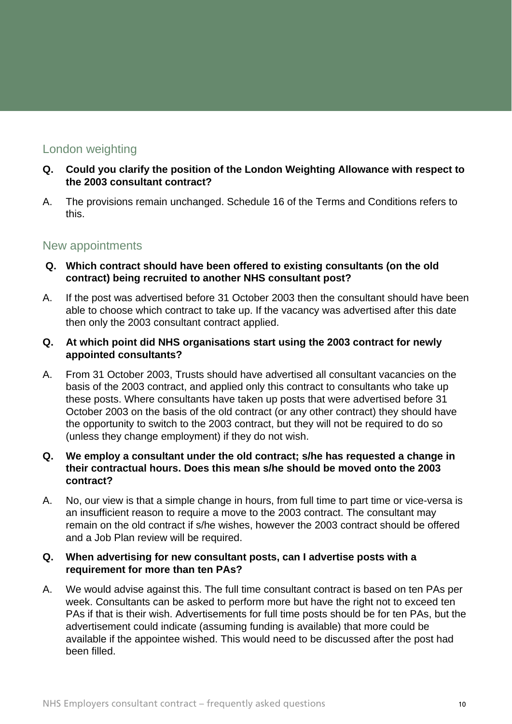# <span id="page-9-0"></span>London weighting

- **Q. Could you clarify the position of the London Weighting Allowance with respect to the 2003 consultant contract?**
- A. The provisions remain unchanged. Schedule 16 of the Terms and Conditions refers to this.

# New appointments

- **Q. Which contract should have been offered to existing consultants (on the old contract) being recruited to another NHS consultant post?**
- A. If the post was advertised before 31 October 2003 then the consultant should have been able to choose which contract to take up. If the vacancy was advertised after this date then only the 2003 consultant contract applied.
- **Q. At which point did NHS organisations start using the 2003 contract for newly appointed consultants?**
- A. From 31 October 2003, Trusts should have advertised all consultant vacancies on the basis of the 2003 contract, and applied only this contract to consultants who take up these posts. Where consultants have taken up posts that were advertised before 31 October 2003 on the basis of the old contract (or any other contract) they should have the opportunity to switch to the 2003 contract, but they will not be required to do so (unless they change employment) if they do not wish.

#### **Q. We employ a consultant under the old contract; s/he has requested a change in their contractual hours. Does this mean s/he should be moved onto the 2003 contract?**

A. No, our view is that a simple change in hours, from full time to part time or vice-versa is an insufficient reason to require a move to the 2003 contract. The consultant may remain on the old contract if s/he wishes, however the 2003 contract should be offered and a Job Plan review will be required.

#### **Q. When advertising for new consultant posts, can I advertise posts with a requirement for more than ten PAs?**

A. We would advise against this. The full time consultant contract is based on ten PAs per week. Consultants can be asked to perform more but have the right not to exceed ten PAs if that is their wish. Advertisements for full time posts should be for ten PAs, but the advertisement could indicate (assuming funding is available) that more could be available if the appointee wished. This would need to be discussed after the post had been filled.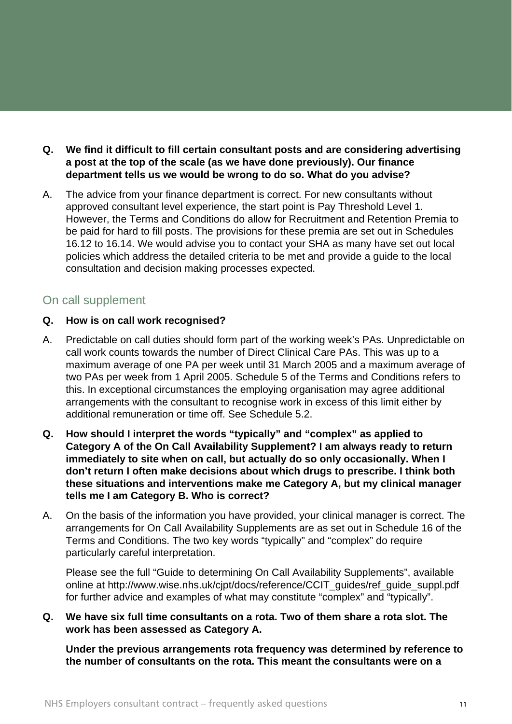- <span id="page-10-0"></span>**Q. We find it difficult to fill certain consultant posts and are considering advertising a post at the top of the scale (as we have done previously). Our finance department tells us we would be wrong to do so. What do you advise?**
- A. The advice from your finance department is correct. For new consultants without approved consultant level experience, the start point is Pay Threshold Level 1. However, the Terms and Conditions do allow for Recruitment and Retention Premia to be paid for hard to fill posts. The provisions for these premia are set out in Schedules 16.12 to 16.14. We would advise you to contact your SHA as many have set out local policies which address the detailed criteria to be met and provide a guide to the local consultation and decision making processes expected.

# On call supplement

#### **Q. How is on call work recognised?**

- A. Predictable on call duties should form part of the working week's PAs. Unpredictable on call work counts towards the number of Direct Clinical Care PAs. This was up to a maximum average of one PA per week until 31 March 2005 and a maximum average of two PAs per week from 1 April 2005. Schedule 5 of the Terms and Conditions refers to this. In exceptional circumstances the employing organisation may agree additional arrangements with the consultant to recognise work in excess of this limit either by additional remuneration or time off. See Schedule 5.2.
- **Q. How should I interpret the words "typically" and "complex" as applied to Category A of the On Call Availability Supplement? I am always ready to return immediately to site when on call, but actually do so only occasionally. When I don't return I often make decisions about which drugs to prescribe. I think both these situations and interventions make me Category A, but my clinical manager tells me I am Category B. Who is correct?**
- A. On the basis of the information you have provided, your clinical manager is correct. The arrangements for On Call Availability Supplements are as set out in Schedule 16 of the Terms and Conditions. The two key words "typically" and "complex" do require particularly careful interpretation.

Please see the full "Guide to determining On Call Availability Supplements", available online at [http://www.wise.nhs.uk/cjpt/docs/reference/CCIT\\_guides/ref\\_guide\\_suppl.pdf](http://www.wise.nhs.uk/cjpt/docs/reference/CCIT_guides/ref_guide_suppl.pdf) for further advice and examples of what may constitute "complex" and "typically".

#### **Q. We have six full time consultants on a rota. Two of them share a rota slot. The work has been assessed as Category A.**

**Under the previous arrangements rota frequency was determined by reference to the number of consultants on the rota. This meant the consultants were on a**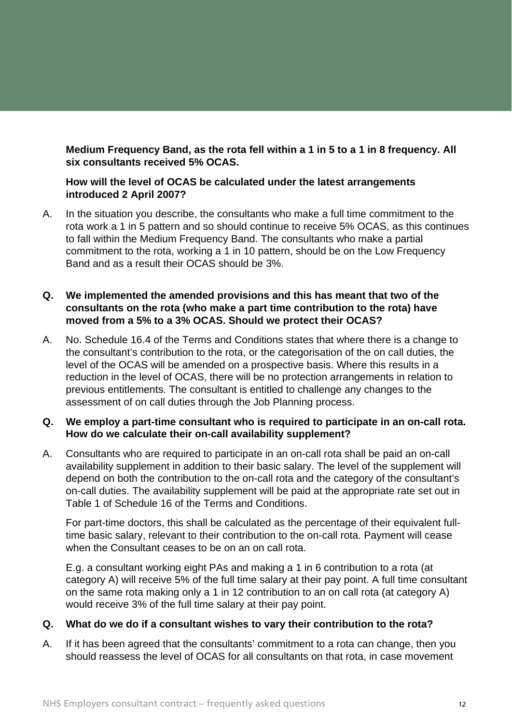**Medium Frequency Band, as the rota fell within a 1 in 5 to a 1 in 8 frequency. All six consultants received 5% OCAS.** 

#### **How will the level of OCAS be calculated under the latest arrangements introduced 2 April 2007?**

A. In the situation you describe, the consultants who make a full time commitment to the rota work a 1 in 5 pattern and so should continue to receive 5% OCAS, as this continues to fall within the Medium Frequency Band. The consultants who make a partial commitment to the rota, working a 1 in 10 pattern, should be on the Low Frequency Band and as a result their OCAS should be 3%.

#### **Q. We implemented the amended provisions and this has meant that two of the consultants on the rota (who make a part time contribution to the rota) have moved from a 5% to a 3% OCAS. Should we protect their OCAS?**

A. No. Schedule 16.4 of the Terms and Conditions states that where there is a change to the consultant's contribution to the rota, or the categorisation of the on call duties, the level of the OCAS will be amended on a prospective basis. Where this results in a reduction in the level of OCAS, there will be no protection arrangements in relation to previous entitlements. The consultant is entitled to challenge any changes to the assessment of on call duties through the Job Planning process.

#### **Q. We employ a part-time consultant who is required to participate in an on-call rota. How do we calculate their on-call availability supplement?**

A. Consultants who are required to participate in an on-call rota shall be paid an on-call availability supplement in addition to their basic salary. The level of the supplement will depend on both the contribution to the on-call rota and the category of the consultant's on-call duties. The availability supplement will be paid at the appropriate rate set out in Table 1 of Schedule 16 of the Terms and Conditions.

For part-time doctors, this shall be calculated as the percentage of their equivalent fulltime basic salary, relevant to their contribution to the on-call rota. Payment will cease when the Consultant ceases to be on an on call rota.

E.g. a consultant working eight PAs and making a 1 in 6 contribution to a rota (at category A) will receive 5% of the full time salary at their pay point. A full time consultant on the same rota making only a 1 in 12 contribution to an on call rota (at category A) would receive 3% of the full time salary at their pay point.

#### **Q. What do we do if a consultant wishes to vary their contribution to the rota?**

A. If it has been agreed that the consultants' commitment to a rota can change, then you should reassess the level of OCAS for all consultants on that rota, in case movement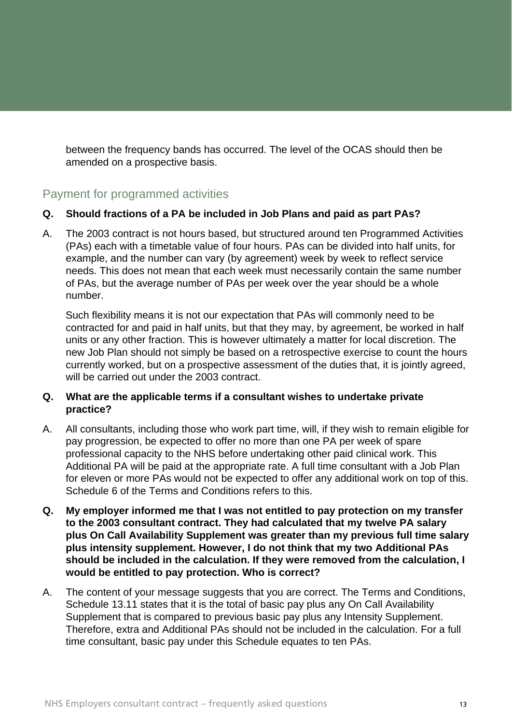<span id="page-12-0"></span>between the frequency bands has occurred. The level of the OCAS should then be amended on a prospective basis.

# Payment for programmed activities

#### **Q. Should fractions of a PA be included in Job Plans and paid as part PAs?**

A. The 2003 contract is not hours based, but structured around ten Programmed Activities (PAs) each with a timetable value of four hours. PAs can be divided into half units, for example, and the number can vary (by agreement) week by week to reflect service needs. This does not mean that each week must necessarily contain the same number of PAs, but the average number of PAs per week over the year should be a whole number.

 Such flexibility means it is not our expectation that PAs will commonly need to be contracted for and paid in half units, but that they may, by agreement, be worked in half units or any other fraction. This is however ultimately a matter for local discretion. The new Job Plan should not simply be based on a retrospective exercise to count the hours currently worked, but on a prospective assessment of the duties that, it is jointly agreed, will be carried out under the 2003 contract.

#### **Q. What are the applicable terms if a consultant wishes to undertake private practice?**

- A. All consultants, including those who work part time, will, if they wish to remain eligible for pay progression, be expected to offer no more than one PA per week of spare professional capacity to the NHS before undertaking other paid clinical work. This Additional PA will be paid at the appropriate rate. A full time consultant with a Job Plan for eleven or more PAs would not be expected to offer any additional work on top of this. Schedule 6 of the Terms and Conditions refers to this.
- **Q. My employer informed me that I was not entitled to pay protection on my transfer to the 2003 consultant contract. They had calculated that my twelve PA salary plus On Call Availability Supplement was greater than my previous full time salary plus intensity supplement. However, I do not think that my two Additional PAs should be included in the calculation. If they were removed from the calculation, I would be entitled to pay protection. Who is correct?**
- A. The content of your message suggests that you are correct. The Terms and Conditions, Schedule 13.11 states that it is the total of basic pay plus any On Call Availability Supplement that is compared to previous basic pay plus any Intensity Supplement. Therefore, extra and Additional PAs should not be included in the calculation. For a full time consultant, basic pay under this Schedule equates to ten PAs.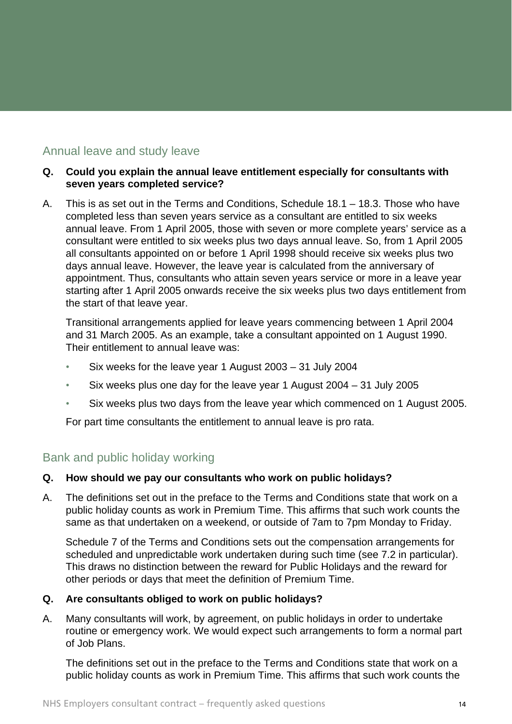# <span id="page-13-0"></span>Annual leave and study leave

#### **Q. Could you explain the annual leave entitlement especially for consultants with seven years completed service?**

A. This is as set out in the Terms and Conditions, Schedule 18.1 – 18.3. Those who have completed less than seven years service as a consultant are entitled to six weeks annual leave. From 1 April 2005, those with seven or more complete years' service as a consultant were entitled to six weeks plus two days annual leave. So, from 1 April 2005 all consultants appointed on or before 1 April 1998 should receive six weeks plus two days annual leave. However, the leave year is calculated from the anniversary of appointment. Thus, consultants who attain seven years service or more in a leave year starting after 1 April 2005 onwards receive the six weeks plus two days entitlement from the start of that leave year.

Transitional arrangements applied for leave years commencing between 1 April 2004 and 31 March 2005. As an example, take a consultant appointed on 1 August 1990. Their entitlement to annual leave was:

- Six weeks for the leave year 1 August 2003 31 July 2004
- Six weeks plus one day for the leave year 1 August 2004 31 July 2005
- Six weeks plus two days from the leave year which commenced on 1 August 2005.

For part time consultants the entitlement to annual leave is pro rata.

## Bank and public holiday working

#### **Q. How should we pay our consultants who work on public holidays?**

A. The definitions set out in the preface to the Terms and Conditions state that work on a public holiday counts as work in Premium Time. This affirms that such work counts the same as that undertaken on a weekend, or outside of 7am to 7pm Monday to Friday.

 Schedule 7 of the Terms and Conditions sets out the compensation arrangements for scheduled and unpredictable work undertaken during such time (see 7.2 in particular). This draws no distinction between the reward for Public Holidays and the reward for other periods or days that meet the definition of Premium Time.

#### **Q. Are consultants obliged to work on public holidays?**

A. Many consultants will work, by agreement, on public holidays in order to undertake routine or emergency work. We would expect such arrangements to form a normal part of Job Plans.

The definitions set out in the preface to the Terms and Conditions state that work on a public holiday counts as work in Premium Time. This affirms that such work counts the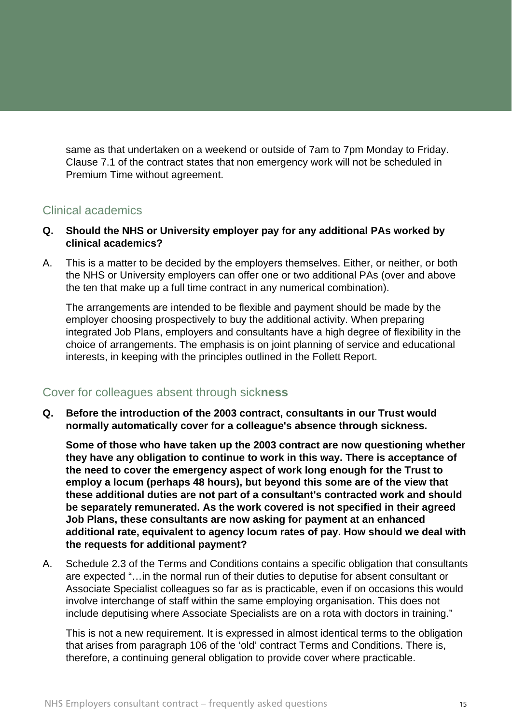<span id="page-14-0"></span>same as that undertaken on a weekend or outside of 7am to 7pm Monday to Friday. Clause 7.1 of the contract states that non emergency work will not be scheduled in Premium Time without agreement.

# Clinical academics

- **Q. Should the NHS or University employer pay for any additional PAs worked by clinical academics?**
- A. This is a matter to be decided by the employers themselves. Either, or neither, or both the NHS or University employers can offer one or two additional PAs (over and above the ten that make up a full time contract in any numerical combination).

The arrangements are intended to be flexible and payment should be made by the employer choosing prospectively to buy the additional activity. When preparing integrated Job Plans, employers and consultants have a high degree of flexibility in the choice of arrangements. The emphasis is on joint planning of service and educational interests, in keeping with the principles outlined in the Follett Report.

# Cover for colleagues absent through sick**ness**

**Q. Before the introduction of the 2003 contract, consultants in our Trust would normally automatically cover for a colleague's absence through sickness.** 

**Some of those who have taken up the 2003 contract are now questioning whether they have any obligation to continue to work in this way. There is acceptance of the need to cover the emergency aspect of work long enough for the Trust to employ a locum (perhaps 48 hours), but beyond this some are of the view that these additional duties are not part of a consultant's contracted work and should be separately remunerated. As the work covered is not specified in their agreed Job Plans, these consultants are now asking for payment at an enhanced additional rate, equivalent to agency locum rates of pay. How should we deal with the requests for additional payment?** 

A. Schedule 2.3 of the Terms and Conditions contains a specific obligation that consultants are expected "…in the normal run of their duties to deputise for absent consultant or Associate Specialist colleagues so far as is practicable, even if on occasions this would involve interchange of staff within the same employing organisation. This does not include deputising where Associate Specialists are on a rota with doctors in training."

 This is not a new requirement. It is expressed in almost identical terms to the obligation that arises from paragraph 106 of the 'old' contract Terms and Conditions. There is, therefore, a continuing general obligation to provide cover where practicable.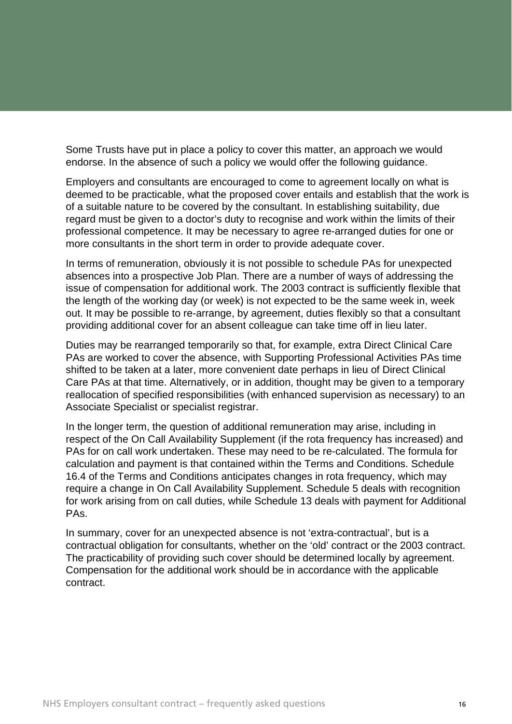Some Trusts have put in place a policy to cover this matter, an approach we would endorse. In the absence of such a policy we would offer the following guidance.

Employers and consultants are encouraged to come to agreement locally on what is deemed to be practicable, what the proposed cover entails and establish that the work is of a suitable nature to be covered by the consultant. In establishing suitability, due regard must be given to a doctor's duty to recognise and work within the limits of their professional competence. It may be necessary to agree re-arranged duties for one or more consultants in the short term in order to provide adequate cover.

In terms of remuneration, obviously it is not possible to schedule PAs for unexpected absences into a prospective Job Plan. There are a number of ways of addressing the issue of compensation for additional work. The 2003 contract is sufficiently flexible that the length of the working day (or week) is not expected to be the same week in, week out. It may be possible to re-arrange, by agreement, duties flexibly so that a consultant providing additional cover for an absent colleague can take time off in lieu later.

Duties may be rearranged temporarily so that, for example, extra Direct Clinical Care PAs are worked to cover the absence, with Supporting Professional Activities PAs time shifted to be taken at a later, more convenient date perhaps in lieu of Direct Clinical Care PAs at that time. Alternatively, or in addition, thought may be given to a temporary reallocation of specified responsibilities (with enhanced supervision as necessary) to an Associate Specialist or specialist registrar.

In the longer term, the question of additional remuneration may arise, including in respect of the On Call Availability Supplement (if the rota frequency has increased) and PAs for on call work undertaken. These may need to be re-calculated. The formula for calculation and payment is that contained within the Terms and Conditions. Schedule 16.4 of the Terms and Conditions anticipates changes in rota frequency, which may require a change in On Call Availability Supplement. Schedule 5 deals with recognition for work arising from on call duties, while Schedule 13 deals with payment for Additional PAs.

In summary, cover for an unexpected absence is not 'extra-contractual', but is a contractual obligation for consultants, whether on the 'old' contract or the 2003 contract. The practicability of providing such cover should be determined locally by agreement. Compensation for the additional work should be in accordance with the applicable contract.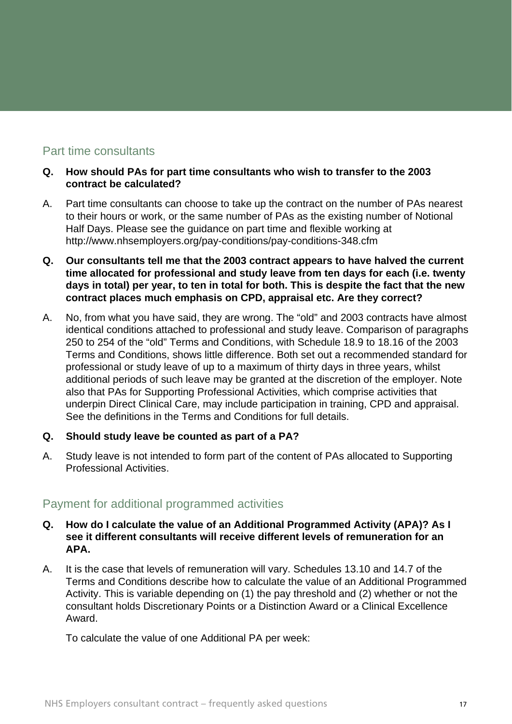# <span id="page-16-0"></span>Part time consultants

#### **Q. How should PAs for part time consultants who wish to transfer to the 2003 contract be calculated?**

- A. Part time consultants can choose to take up the contract on the number of PAs nearest to their hours or work, or the same number of PAs as the existing number of Notional Half Days. Please see the guidance on part time and flexible working at <http://www.nhsemployers.org/pay-conditions/pay-conditions-348.cfm>
- **Q. Our consultants tell me that the 2003 contract appears to have halved the current time allocated for professional and study leave from ten days for each (i.e. twenty days in total) per year, to ten in total for both. This is despite the fact that the new contract places much emphasis on CPD, appraisal etc. Are they correct?**
- A. No, from what you have said, they are wrong. The "old" and 2003 contracts have almost identical conditions attached to professional and study leave. Comparison of paragraphs 250 to 254 of the "old" Terms and Conditions, with Schedule 18.9 to 18.16 of the 2003 Terms and Conditions, shows little difference. Both set out a recommended standard for professional or study leave of up to a maximum of thirty days in three years, whilst additional periods of such leave may be granted at the discretion of the employer. Note also that PAs for Supporting Professional Activities, which comprise activities that underpin Direct Clinical Care, may include participation in training, CPD and appraisal. See the definitions in the Terms and Conditions for full details.

#### **Q. Should study leave be counted as part of a PA?**

A. Study leave is not intended to form part of the content of PAs allocated to Supporting Professional Activities.

# Payment for additional programmed activities

- **Q. How do I calculate the value of an Additional Programmed Activity (APA)? As I see it different consultants will receive different levels of remuneration for an APA.**
- A. It is the case that levels of remuneration will vary. Schedules 13.10 and 14.7 of the Terms and Conditions describe how to calculate the value of an Additional Programmed Activity. This is variable depending on (1) the pay threshold and (2) whether or not the consultant holds Discretionary Points or a Distinction Award or a Clinical Excellence Award.

To calculate the value of one Additional PA per week: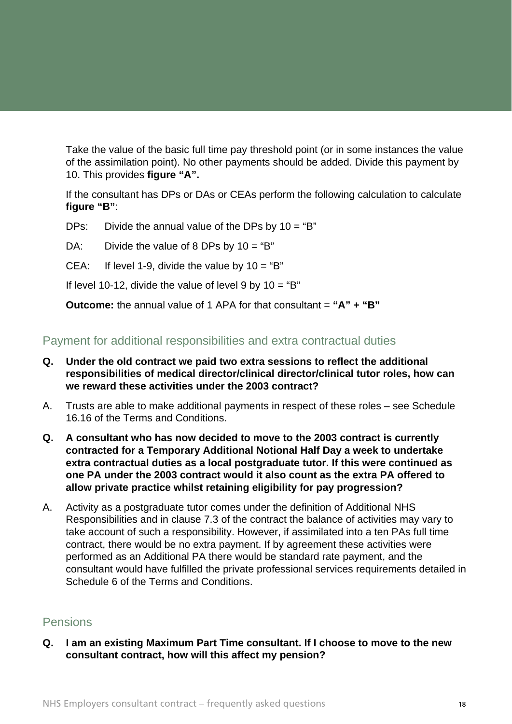<span id="page-17-0"></span>Take the value of the basic full time pay threshold point (or in some instances the value of the assimilation point). No other payments should be added. Divide this payment by 10. This provides **figure "A".**

If the consultant has DPs or DAs or CEAs perform the following calculation to calculate **figure "B"**:

DPs: Divide the annual value of the DPs by  $10 = "B"$ 

DA: Divide the value of 8 DPs by  $10 = "B"$ 

CEA: If level 1-9, divide the value by  $10 = "B"$ 

If level 10-12, divide the value of level 9 by  $10 = "B"$ 

**Outcome:** the annual value of 1 APA for that consultant = "A" + "B"

# Payment for additional responsibilities and extra contractual duties

- **Q. Under the old contract we paid two extra sessions to reflect the additional responsibilities of medical director/clinical director/clinical tutor roles, how can we reward these activities under the 2003 contract?**
- A. Trusts are able to make additional payments in respect of these roles see Schedule 16.16 of the Terms and Conditions.
- **Q. A consultant who has now decided to move to the 2003 contract is currently contracted for a Temporary Additional Notional Half Day a week to undertake extra contractual duties as a local postgraduate tutor. If this were continued as one PA under the 2003 contract would it also count as the extra PA offered to allow private practice whilst retaining eligibility for pay progression?**
- A. Activity as a postgraduate tutor comes under the definition of Additional NHS Responsibilities and in clause 7.3 of the contract the balance of activities may vary to take account of such a responsibility. However, if assimilated into a ten PAs full time contract, there would be no extra payment. If by agreement these activities were performed as an Additional PA there would be standard rate payment, and the consultant would have fulfilled the private professional services requirements detailed in Schedule 6 of the Terms and Conditions.

# Pensions

**Q. I am an existing Maximum Part Time consultant. If I choose to move to the new consultant contract, how will this affect my pension?**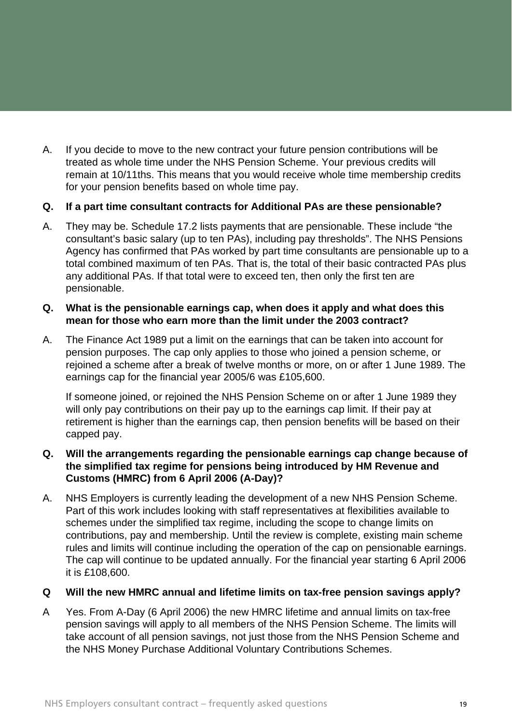A. If you decide to move to the new contract your future pension contributions will be treated as whole time under the NHS Pension Scheme. Your previous credits will remain at 10/11ths. This means that you would receive whole time membership credits for your pension benefits based on whole time pay.

#### **Q. If a part time consultant contracts for Additional PAs are these pensionable?**

A. They may be. Schedule 17.2 lists payments that are pensionable. These include "the consultant's basic salary (up to ten PAs), including pay thresholds". The NHS Pensions Agency has confirmed that PAs worked by part time consultants are pensionable up to a total combined maximum of ten PAs. That is, the total of their basic contracted PAs plus any additional PAs. If that total were to exceed ten, then only the first ten are pensionable.

#### **Q. What is the pensionable earnings cap, when does it apply and what does this mean for those who earn more than the limit under the 2003 contract?**

A. The Finance Act 1989 put a limit on the earnings that can be taken into account for pension purposes. The cap only applies to those who joined a pension scheme, or rejoined a scheme after a break of twelve months or more, on or after 1 June 1989. The earnings cap for the financial year 2005/6 was £105,600.

 If someone joined, or rejoined the NHS Pension Scheme on or after 1 June 1989 they will only pay contributions on their pay up to the earnings cap limit. If their pay at retirement is higher than the earnings cap, then pension benefits will be based on their capped pay.

#### **Q. Will the arrangements regarding the pensionable earnings cap change because of the simplified tax regime for pensions being introduced by HM Revenue and Customs (HMRC) from 6 April 2006 (A-Day)?**

A. NHS Employers is currently leading the development of a new NHS Pension Scheme. Part of this work includes looking with staff representatives at flexibilities available to schemes under the simplified tax regime, including the scope to change limits on contributions, pay and membership. Until the review is complete, existing main scheme rules and limits will continue including the operation of the cap on pensionable earnings. The cap will continue to be updated annually. For the financial year starting 6 April 2006 it is £108,600.

#### **Q Will the new HMRC annual and lifetime limits on tax-free pension savings apply?**

A Yes. From A-Day (6 April 2006) the new HMRC lifetime and annual limits on tax-free pension savings will apply to all members of the NHS Pension Scheme. The limits will take account of all pension savings, not just those from the NHS Pension Scheme and the NHS Money Purchase Additional Voluntary Contributions Schemes.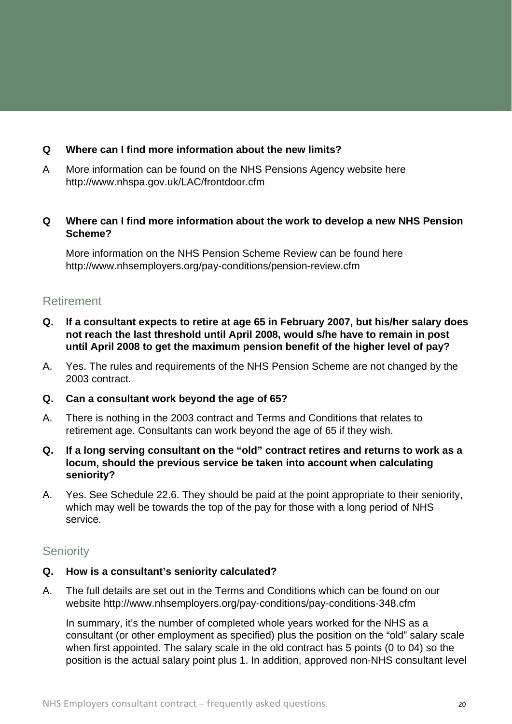#### <span id="page-19-0"></span>**Q Where can I find more information about the new limits?**

A More information can be found on the NHS Pensions Agency website here <http://www.nhspa.gov.uk/LAC/frontdoor.cfm>

#### **Q Where can I find more information about the work to develop a new NHS Pension Scheme?**

More information on the NHS Pension Scheme Review can be found here <http://www.nhsemployers.org/pay-conditions/pension-review.cfm>

# Retirement

- **Q. If a consultant expects to retire at age 65 in February 2007, but his/her salary does not reach the last threshold until April 2008, would s/he have to remain in post until April 2008 to get the maximum pension benefit of the higher level of pay?**
- A. Yes. The rules and requirements of the NHS Pension Scheme are not changed by the 2003 contract.
- **Q. Can a consultant work beyond the age of 65?**
- A. There is nothing in the 2003 contract and Terms and Conditions that relates to retirement age. Consultants can work beyond the age of 65 if they wish.
- **Q. If a long serving consultant on the "old" contract retires and returns to work as a locum, should the previous service be taken into account when calculating seniority?**
- A. Yes. See Schedule 22.6. They should be paid at the point appropriate to their seniority, which may well be towards the top of the pay for those with a long period of NHS service.

# **Seniority**

#### **Q. How is a consultant's seniority calculated?**

A. The full details are set out in the Terms and Conditions which can be found on our website <http://www.nhsemployers.org/pay-conditions/pay-conditions-348.cfm>

 In summary, it's the number of completed whole years worked for the NHS as a consultant (or other employment as specified) plus the position on the "old" salary scale when first appointed. The salary scale in the old contract has 5 points (0 to 04) so the position is the actual salary point plus 1. In addition, approved non-NHS consultant level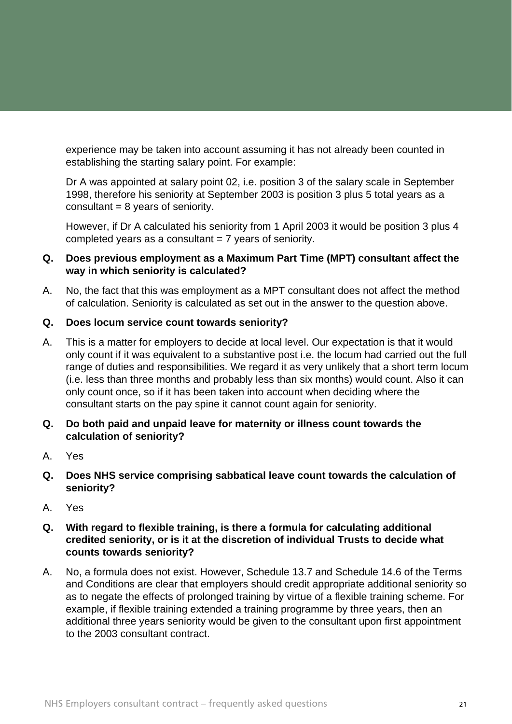experience may be taken into account assuming it has not already been counted in establishing the starting salary point. For example:

Dr A was appointed at salary point 02, i.e. position 3 of the salary scale in September 1998, therefore his seniority at September 2003 is position 3 plus 5 total years as a consultant  $= 8$  years of seniority.

However, if Dr A calculated his seniority from 1 April 2003 it would be position 3 plus 4 completed years as a consultant = 7 years of seniority.

#### **Q. Does previous employment as a Maximum Part Time (MPT) consultant affect the way in which seniority is calculated?**

A. No, the fact that this was employment as a MPT consultant does not affect the method of calculation. Seniority is calculated as set out in the answer to the question above.

#### **Q. Does locum service count towards seniority?**

- A. This is a matter for employers to decide at local level. Our expectation is that it would only count if it was equivalent to a substantive post i.e. the locum had carried out the full range of duties and responsibilities. We regard it as very unlikely that a short term locum (i.e. less than three months and probably less than six months) would count. Also it can only count once, so if it has been taken into account when deciding where the consultant starts on the pay spine it cannot count again for seniority.
- **Q. Do both paid and unpaid leave for maternity or illness count towards the calculation of seniority?**
- A. Yes
- **Q. Does NHS service comprising sabbatical leave count towards the calculation of seniority?**
- A. Yes
- **Q. With regard to flexible training, is there a formula for calculating additional credited seniority, or is it at the discretion of individual Trusts to decide what counts towards seniority?**
- A. No, a formula does not exist. However, Schedule 13.7 and Schedule 14.6 of the Terms and Conditions are clear that employers should credit appropriate additional seniority so as to negate the effects of prolonged training by virtue of a flexible training scheme. For example, if flexible training extended a training programme by three years, then an additional three years seniority would be given to the consultant upon first appointment to the 2003 consultant contract.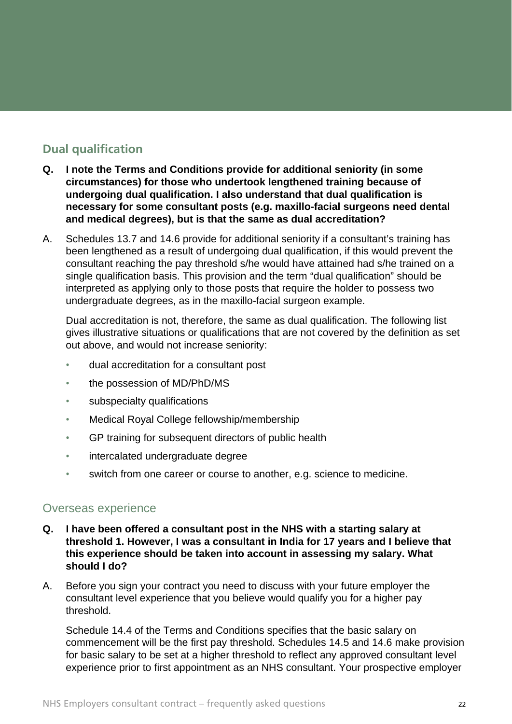# <span id="page-21-0"></span>**Dual qualification**

- **Q. I note the Terms and Conditions provide for additional seniority (in some circumstances) for those who undertook lengthened training because of undergoing dual qualification. I also understand that dual qualification is necessary for some consultant posts (e.g. maxillo-facial surgeons need dental and medical degrees), but is that the same as dual accreditation?**
- A. Schedules 13.7 and 14.6 provide for additional seniority if a consultant's training has been lengthened as a result of undergoing dual qualification, if this would prevent the consultant reaching the pay threshold s/he would have attained had s/he trained on a single qualification basis. This provision and the term "dual qualification" should be interpreted as applying only to those posts that require the holder to possess two undergraduate degrees, as in the maxillo-facial surgeon example.

Dual accreditation is not, therefore, the same as dual qualification. The following list gives illustrative situations or qualifications that are not covered by the definition as set out above, and would not increase seniority:

- dual accreditation for a consultant post
- the possession of MD/PhD/MS
- subspecialty qualifications
- Medical Royal College fellowship/membership
- GP training for subsequent directors of public health
- intercalated undergraduate degree
- switch from one career or course to another, e.g. science to medicine.

# Overseas experience

- **Q. I have been offered a consultant post in the NHS with a starting salary at threshold 1. However, I was a consultant in India for 17 years and I believe that this experience should be taken into account in assessing my salary. What should I do?**
- A. Before you sign your contract you need to discuss with your future employer the consultant level experience that you believe would qualify you for a higher pay threshold.

Schedule 14.4 of the Terms and Conditions specifies that the basic salary on commencement will be the first pay threshold. Schedules 14.5 and 14.6 make provision for basic salary to be set at a higher threshold to reflect any approved consultant level experience prior to first appointment as an NHS consultant. Your prospective employer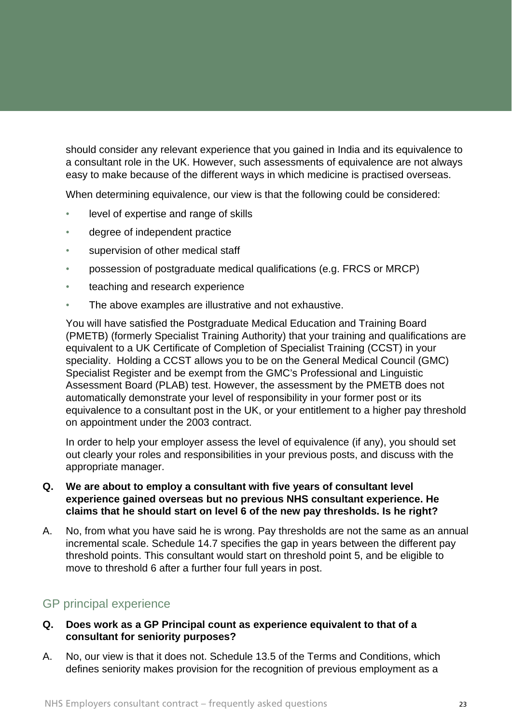<span id="page-22-0"></span>should consider any relevant experience that you gained in India and its equivalence to a consultant role in the UK. However, such assessments of equivalence are not always easy to make because of the different ways in which medicine is practised overseas.

When determining equivalence, our view is that the following could be considered:

- level of expertise and range of skills
- degree of independent practice
- supervision of other medical staff
- possession of postgraduate medical qualifications (e.g. FRCS or MRCP)
- teaching and research experience
- The above examples are illustrative and not exhaustive.

You will have satisfied the Postgraduate Medical Education and Training Board (PMETB) (formerly Specialist Training Authority) that your training and qualifications are equivalent to a UK Certificate of Completion of Specialist Training (CCST) in your speciality. Holding a CCST allows you to be on the General Medical Council (GMC) Specialist Register and be exempt from the GMC's Professional and Linguistic Assessment Board (PLAB) test. However, the assessment by the PMETB does not automatically demonstrate your level of responsibility in your former post or its equivalence to a consultant post in the UK, or your entitlement to a higher pay threshold on appointment under the 2003 contract.

In order to help your employer assess the level of equivalence (if any), you should set out clearly your roles and responsibilities in your previous posts, and discuss with the appropriate manager.

#### **Q. We are about to employ a consultant with five years of consultant level experience gained overseas but no previous NHS consultant experience. He claims that he should start on level 6 of the new pay thresholds. Is he right?**

A. No, from what you have said he is wrong. Pay thresholds are not the same as an annual incremental scale. Schedule 14.7 specifies the gap in years between the different pay threshold points. This consultant would start on threshold point 5, and be eligible to move to threshold 6 after a further four full years in post.

# GP principal experience

#### **Q. Does work as a GP Principal count as experience equivalent to that of a consultant for seniority purposes?**

A. No, our view is that it does not. Schedule 13.5 of the Terms and Conditions, which defines seniority makes provision for the recognition of previous employment as a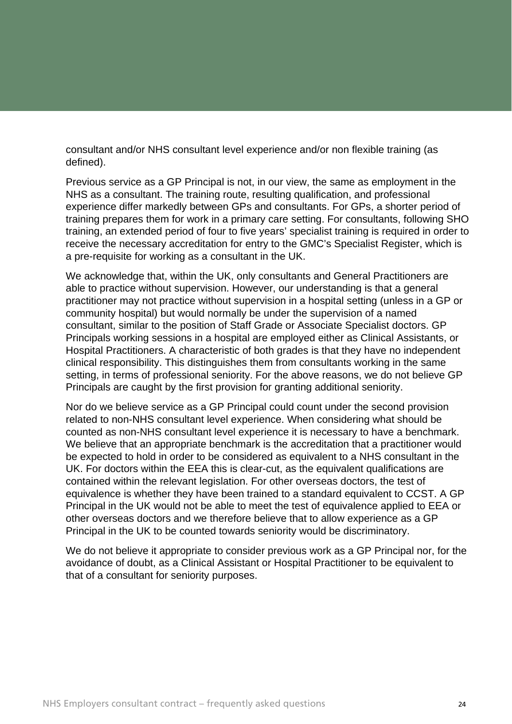consultant and/or NHS consultant level experience and/or non flexible training (as defined).

Previous service as a GP Principal is not, in our view, the same as employment in the NHS as a consultant. The training route, resulting qualification, and professional experience differ markedly between GPs and consultants. For GPs, a shorter period of training prepares them for work in a primary care setting. For consultants, following SHO training, an extended period of four to five years' specialist training is required in order to receive the necessary accreditation for entry to the GMC's Specialist Register, which is a pre-requisite for working as a consultant in the UK.

We acknowledge that, within the UK, only consultants and General Practitioners are able to practice without supervision. However, our understanding is that a general practitioner may not practice without supervision in a hospital setting (unless in a GP or community hospital) but would normally be under the supervision of a named consultant, similar to the position of Staff Grade or Associate Specialist doctors. GP Principals working sessions in a hospital are employed either as Clinical Assistants, or Hospital Practitioners. A characteristic of both grades is that they have no independent clinical responsibility. This distinguishes them from consultants working in the same setting, in terms of professional seniority. For the above reasons, we do not believe GP Principals are caught by the first provision for granting additional seniority.

Nor do we believe service as a GP Principal could count under the second provision related to non-NHS consultant level experience. When considering what should be counted as non-NHS consultant level experience it is necessary to have a benchmark. We believe that an appropriate benchmark is the accreditation that a practitioner would be expected to hold in order to be considered as equivalent to a NHS consultant in the UK. For doctors within the EEA this is clear-cut, as the equivalent qualifications are contained within the relevant legislation. For other overseas doctors, the test of equivalence is whether they have been trained to a standard equivalent to CCST. A GP Principal in the UK would not be able to meet the test of equivalence applied to EEA or other overseas doctors and we therefore believe that to allow experience as a GP Principal in the UK to be counted towards seniority would be discriminatory.

We do not believe it appropriate to consider previous work as a GP Principal nor, for the avoidance of doubt, as a Clinical Assistant or Hospital Practitioner to be equivalent to that of a consultant for seniority purposes.